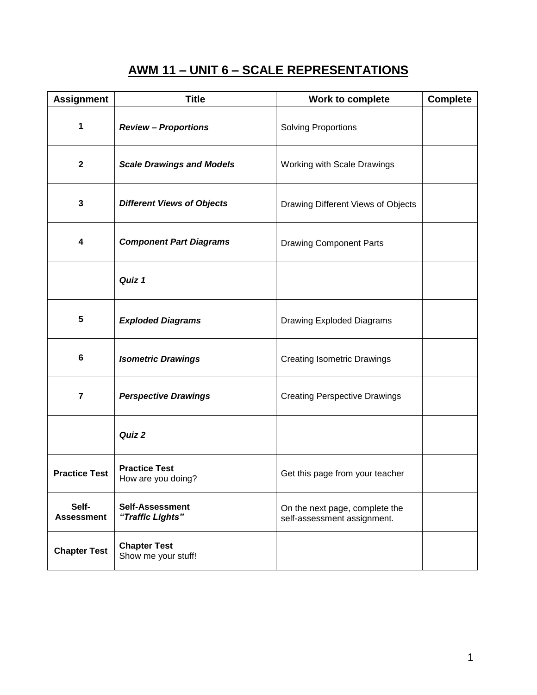# **AWM 11 – UNIT 6 – SCALE REPRESENTATIONS**

| <b>Assignment</b>          | <b>Title</b>                               | Work to complete                                              | <b>Complete</b> |
|----------------------------|--------------------------------------------|---------------------------------------------------------------|-----------------|
| 1                          | <b>Review - Proportions</b>                | <b>Solving Proportions</b>                                    |                 |
| $\mathbf 2$                | <b>Scale Drawings and Models</b>           | Working with Scale Drawings                                   |                 |
| 3                          | <b>Different Views of Objects</b>          | Drawing Different Views of Objects                            |                 |
| 4                          | <b>Component Part Diagrams</b>             | <b>Drawing Component Parts</b>                                |                 |
|                            | Quiz 1                                     |                                                               |                 |
| 5                          | <b>Exploded Diagrams</b>                   | Drawing Exploded Diagrams                                     |                 |
| 6                          | <b>Isometric Drawings</b>                  | <b>Creating Isometric Drawings</b>                            |                 |
| $\overline{7}$             | <b>Perspective Drawings</b>                | <b>Creating Perspective Drawings</b>                          |                 |
|                            | Quiz 2                                     |                                                               |                 |
| <b>Practice Test</b>       | <b>Practice Test</b><br>How are you doing? | Get this page from your teacher                               |                 |
| Self-<br><b>Assessment</b> | <b>Self-Assessment</b><br>"Traffic Lights" | On the next page, complete the<br>self-assessment assignment. |                 |
| <b>Chapter Test</b>        | <b>Chapter Test</b><br>Show me your stuff! |                                                               |                 |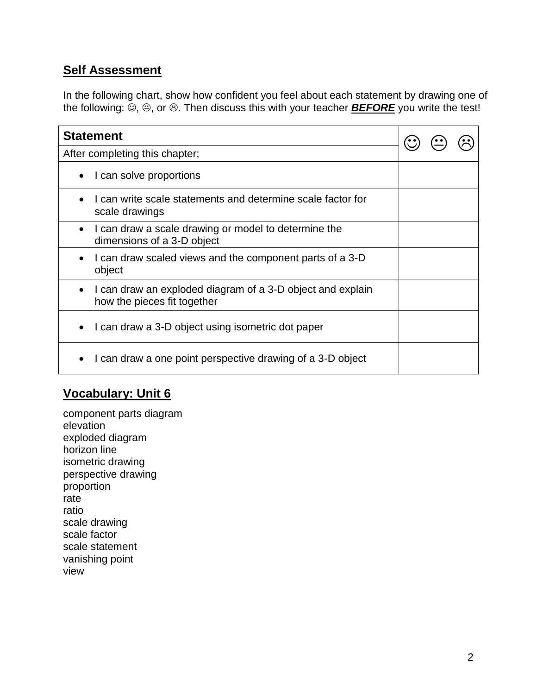#### **Self Assessment**

In the following chart, show how confident you feel about each statement by drawing one of the following:  $\ddot{\odot}$ ,  $\odot$ , or  $\odot$ . Then discuss this with your teacher **BEFORE** you write the test!

| <b>Statement</b>                                                                          |  |  |
|-------------------------------------------------------------------------------------------|--|--|
| After completing this chapter;                                                            |  |  |
| I can solve proportions                                                                   |  |  |
| I can write scale statements and determine scale factor for<br>scale drawings             |  |  |
| I can draw a scale drawing or model to determine the<br>dimensions of a 3-D object        |  |  |
| I can draw scaled views and the component parts of a 3-D<br>object                        |  |  |
| I can draw an exploded diagram of a 3-D object and explain<br>how the pieces fit together |  |  |
| I can draw a 3-D object using isometric dot paper                                         |  |  |
| I can draw a one point perspective drawing of a 3-D object                                |  |  |

# **Vocabulary: Unit 6**

component parts diagram elevation exploded diagram horizon line isometric drawing perspective drawing proportion rate ratio scale drawing scale factor scale statement vanishing point view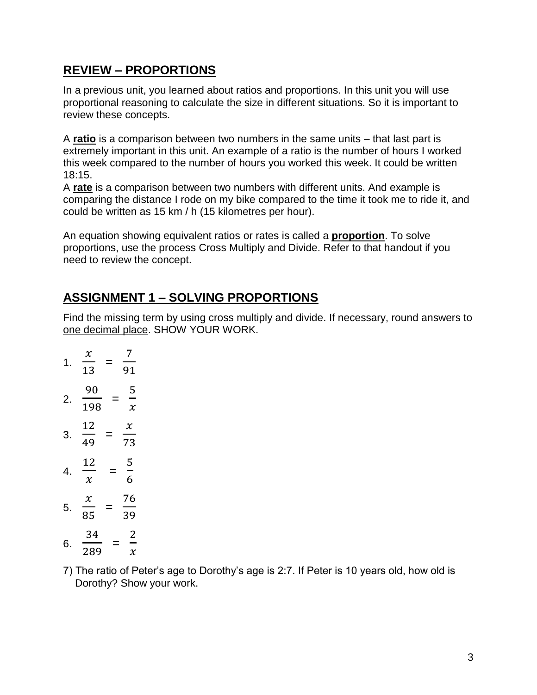#### **REVIEW – PROPORTIONS**

In a previous unit, you learned about ratios and proportions. In this unit you will use proportional reasoning to calculate the size in different situations. So it is important to review these concepts.

A **ratio** is a comparison between two numbers in the same units – that last part is extremely important in this unit. An example of a ratio is the number of hours I worked this week compared to the number of hours you worked this week. It could be written 18:15.

A **rate** is a comparison between two numbers with different units. And example is comparing the distance I rode on my bike compared to the time it took me to ride it, and could be written as 15 km / h (15 kilometres per hour).

An equation showing equivalent ratios or rates is called a **proportion**. To solve proportions, use the process Cross Multiply and Divide. Refer to that handout if you need to review the concept.

## **ASSIGNMENT 1 – SOLVING PROPORTIONS**

Find the missing term by using cross multiply and divide. If necessary, round answers to one decimal place. SHOW YOUR WORK.

1. 
$$
\frac{x}{13} = \frac{7}{91}
$$
  
\n2.  $\frac{90}{198} = \frac{5}{x}$   
\n3.  $\frac{12}{49} = \frac{x}{73}$   
\n4.  $\frac{12}{x} = \frac{5}{6}$   
\n5.  $\frac{x}{85} = \frac{76}{39}$   
\n6.  $\frac{34}{289} = \frac{2}{x}$ 

7) The ratio of Peter's age to Dorothy's age is 2:7. If Peter is 10 years old, how old is Dorothy? Show your work.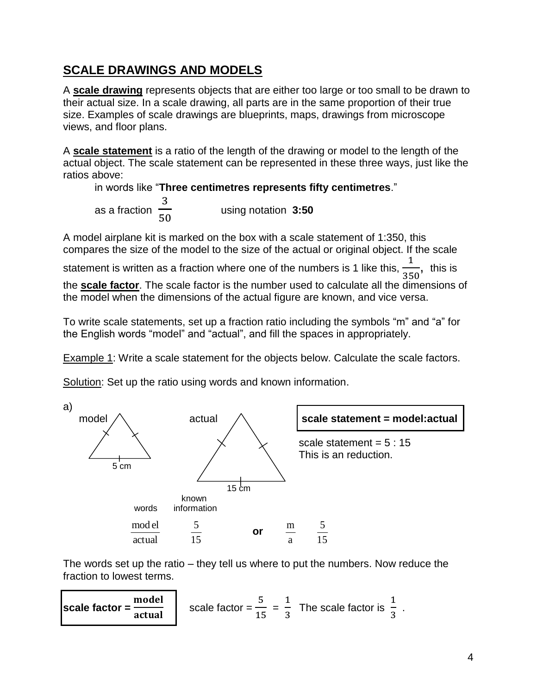## **SCALE DRAWINGS AND MODELS**

A **scale drawing** represents objects that are either too large or too small to be drawn to their actual size. In a scale drawing, all parts are in the same proportion of their true size. Examples of scale drawings are blueprints, maps, drawings from microscope views, and floor plans.

A **scale statement** is a ratio of the length of the drawing or model to the length of the actual object. The scale statement can be represented in these three ways, just like the ratios above:

in words like "**Three centimetres represents fifty centimetres**."

as a fraction 3 5 using notation **3:50**

A model airplane kit is marked on the box with a scale statement of 1:350, this compares the size of the model to the size of the actual or original object. If the scale

statement is written as a fraction where one of the numbers is 1 like this,  $\mathbf{1}$  $\frac{1}{350}$ , this is the **scale factor**. The scale factor is the number used to calculate all the dimensions of

To write scale statements, set up a fraction ratio including the symbols "m" and "a" for the English words "model" and "actual", and fill the spaces in appropriately.

the model when the dimensions of the actual figure are known, and vice versa.

Example 1: Write a scale statement for the objects below. Calculate the scale factors.

Solution: Set up the ratio using words and known information.



The words set up the ratio – they tell us where to put the numbers. Now reduce the fraction to lowest terms.

scale factor = 
$$
\frac{\text{model}}{\text{actual}}
$$
 scale factor =  $\frac{5}{15} = \frac{1}{3}$  The scale factor is  $\frac{1}{3}$ .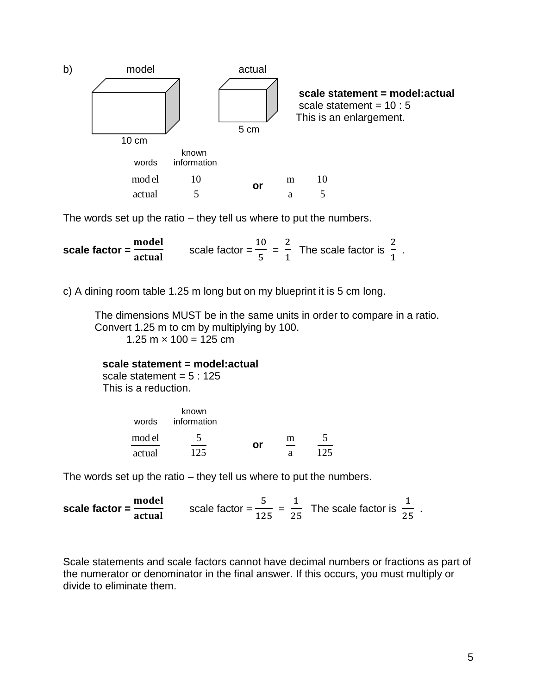

The words set up the ratio – they tell us where to put the numbers.

**scale factor =**   $\mathbf{m}$  $\frac{\text{arrows}}{\text{actual}}$  scale factor =  $\mathbf{1}$  $\frac{1}{5}$  =  $\overline{c}$  $\frac{-}{1}$  The scale factor is  $\overline{\mathbf{c}}$  $\frac{1}{1}$  .

c) A dining room table 1.25 m long but on my blueprint it is 5 cm long.

The dimensions MUST be in the same units in order to compare in a ratio. Convert 1.25 m to cm by multiplying by 100. 1.25 m  $\times$  100 = 125 cm

**scale statement = model:actual**

scale statement =  $5:125$ This is a reduction.

| words  | known<br>information |    |   |  |
|--------|----------------------|----|---|--|
| mod el | $\mathcal{D}$        | or | m |  |
| actual | 125                  |    | a |  |

The words set up the ratio – they tell us where to put the numbers.

**scale factor =**   $\mathbf{m}$  $\frac{\text{arrows}}{\text{actual}}$  scale factor = 5  $\frac{1}{125}$  =  $\mathbf{1}$  $\frac{1}{25}$  The scale factor is  $\mathbf{1}$  $\frac{1}{25}$ .

Scale statements and scale factors cannot have decimal numbers or fractions as part of the numerator or denominator in the final answer. If this occurs, you must multiply or divide to eliminate them.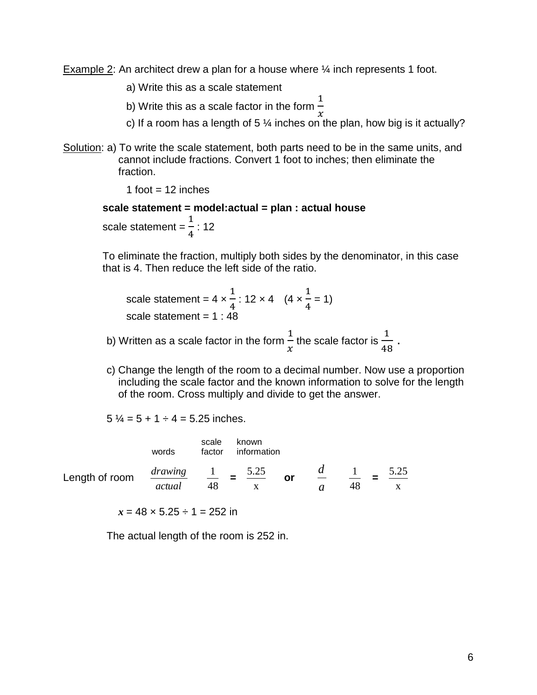Example 2: An architect drew a plan for a house where  $\frac{1}{4}$  inch represents 1 foot.

a) Write this as a scale statement

b) Write this as a scale factor in the form  $\mathbf{1}$  $\mathcal{X}$ 

- c) If a room has a length of 5  $\frac{1}{4}$  inches on the plan, how big is it actually?
- Solution: a) To write the scale statement, both parts need to be in the same units, and cannot include fractions. Convert 1 foot to inches; then eliminate the fraction.

1 foot  $= 12$  inches

#### **scale statement = model:actual = plan : actual house**

scale statement =  $\mathbf{1}$  $\frac{1}{4}$ : 12

To eliminate the fraction, multiply both sides by the denominator, in this case that is 4. Then reduce the left side of the ratio.

scale statement =  $4 \times$  $\mathbf{1}$  $\frac{1}{4}$ : 12 × 4 (4 ×  $\mathbf{1}$  $\frac{1}{4}$  = 1) scale statement =  $1:48$ b) Written as a scale factor in the form  $\mathbf{1}$  $\frac{-}{x}$  the scale factor is  $\mathbf{1}$  $\frac{1}{48}$ .

c) Change the length of the room to a decimal number. Now use a proportion including the scale factor and the known information to solve for the length of the room. Cross multiply and divide to get the answer.

 $5\% = 5 + 1 \div 4 = 5.25$  inches.

|                | words             | scale<br>factor | known<br>information |    |   |      |
|----------------|-------------------|-----------------|----------------------|----|---|------|
| Length of room | drawing<br>actual |                 | 5.25                 | or | a | 5.25 |

 $x = 48 \times 5.25 \div 1 = 252$  in

The actual length of the room is 252 in.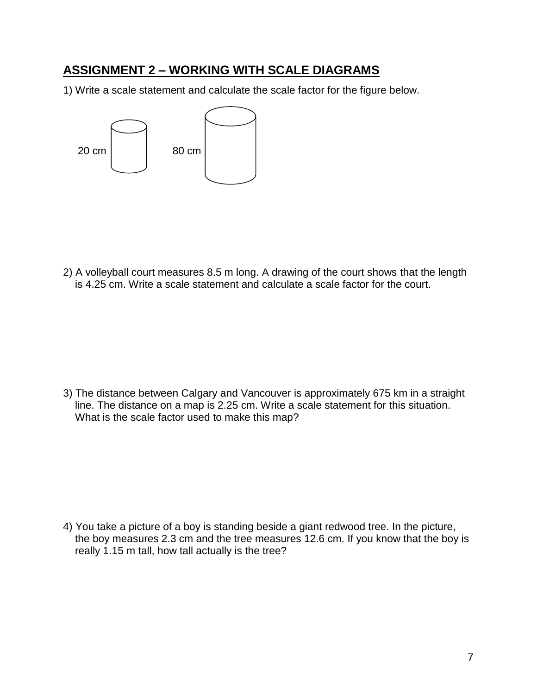## **ASSIGNMENT 2 – WORKING WITH SCALE DIAGRAMS**

1) Write a scale statement and calculate the scale factor for the figure below.



2) A volleyball court measures 8.5 m long. A drawing of the court shows that the length is 4.25 cm. Write a scale statement and calculate a scale factor for the court.

3) The distance between Calgary and Vancouver is approximately 675 km in a straight line. The distance on a map is 2.25 cm. Write a scale statement for this situation. What is the scale factor used to make this map?

4) You take a picture of a boy is standing beside a giant redwood tree. In the picture, the boy measures 2.3 cm and the tree measures 12.6 cm. If you know that the boy is really 1.15 m tall, how tall actually is the tree?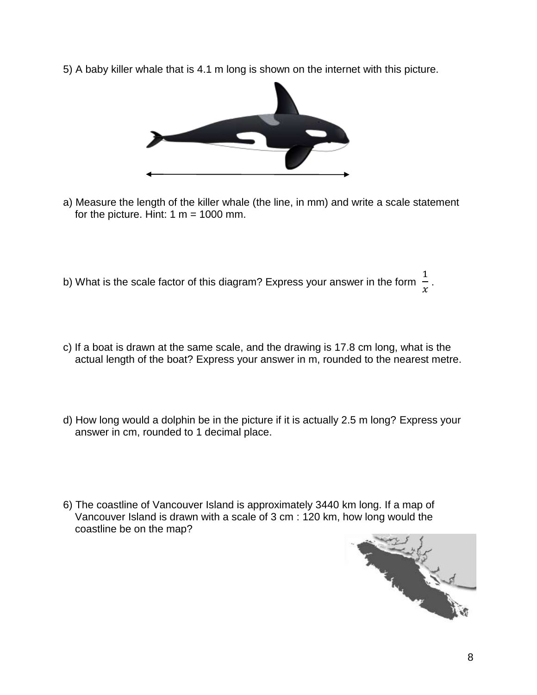5) A baby killer whale that is 4.1 m long is shown on the internet with this picture.



- a) Measure the length of the killer whale (the line, in mm) and write a scale statement for the picture. Hint:  $1 m = 1000 mm$ .
- b) What is the scale factor of this diagram? Express your answer in the form  $\mathbf{1}$  $\frac{1}{x}$ .
- c) If a boat is drawn at the same scale, and the drawing is 17.8 cm long, what is the actual length of the boat? Express your answer in m, rounded to the nearest metre.
- d) How long would a dolphin be in the picture if it is actually 2.5 m long? Express your answer in cm, rounded to 1 decimal place.
- 6) The coastline of Vancouver Island is approximately 3440 km long. If a map of Vancouver Island is drawn with a scale of 3 cm : 120 km, how long would the coastline be on the map?

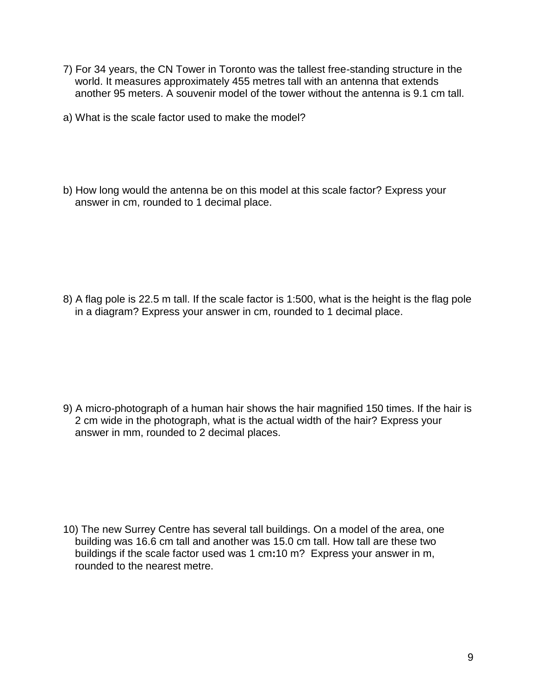- 7) For 34 years, the CN Tower in Toronto was the tallest free-standing structure in the world. It measures approximately 455 metres tall with an antenna that extends another 95 meters. A souvenir model of the tower without the antenna is 9.1 cm tall.
- a) What is the scale factor used to make the model?
- b) How long would the antenna be on this model at this scale factor? Express your answer in cm, rounded to 1 decimal place.

8) A flag pole is 22.5 m tall. If the scale factor is 1:500, what is the height is the flag pole in a diagram? Express your answer in cm, rounded to 1 decimal place.

9) A micro-photograph of a human hair shows the hair magnified 150 times. If the hair is 2 cm wide in the photograph, what is the actual width of the hair? Express your answer in mm, rounded to 2 decimal places.

10) The new Surrey Centre has several tall buildings. On a model of the area, one building was 16.6 cm tall and another was 15.0 cm tall. How tall are these two buildings if the scale factor used was 1 cm**:**10 m? Express your answer in m, rounded to the nearest metre.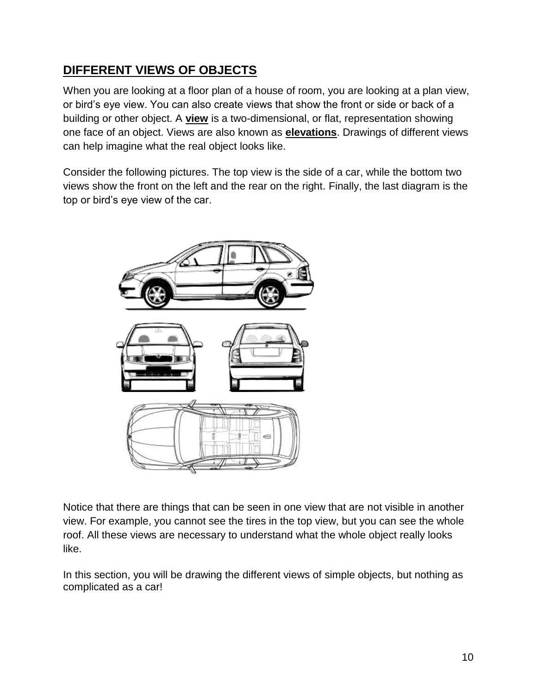## **DIFFERENT VIEWS OF OBJECTS**

When you are looking at a floor plan of a house of room, you are looking at a plan view, or bird's eye view. You can also create views that show the front or side or back of a building or other object. A **view** is a two-dimensional, or flat, representation showing one face of an object. Views are also known as **elevations**. Drawings of different views can help imagine what the real object looks like.

Consider the following pictures. The top view is the side of a car, while the bottom two views show the front on the left and the rear on the right. Finally, the last diagram is the top or bird's eye view of the car.



Notice that there are things that can be seen in one view that are not visible in another view. For example, you cannot see the tires in the top view, but you can see the whole roof. All these views are necessary to understand what the whole object really looks like.

In this section, you will be drawing the different views of simple objects, but nothing as complicated as a car!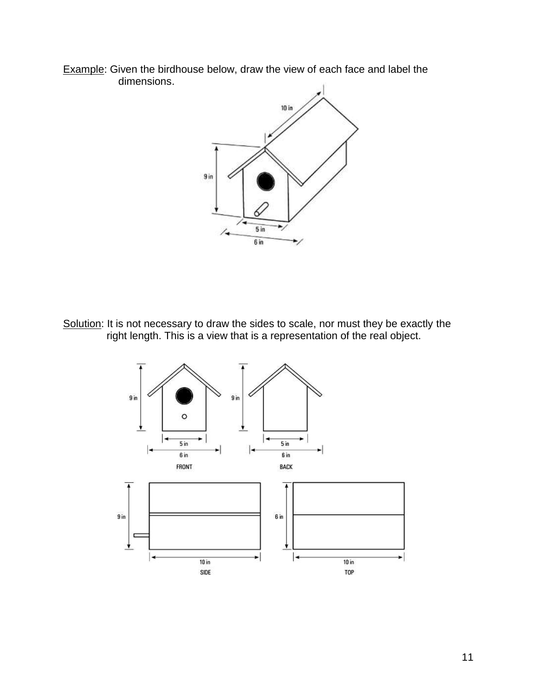Example: Given the birdhouse below, draw the view of each face and label the dimensions.



Solution: It is not necessary to draw the sides to scale, nor must they be exactly the right length. This is a view that is a representation of the real object.

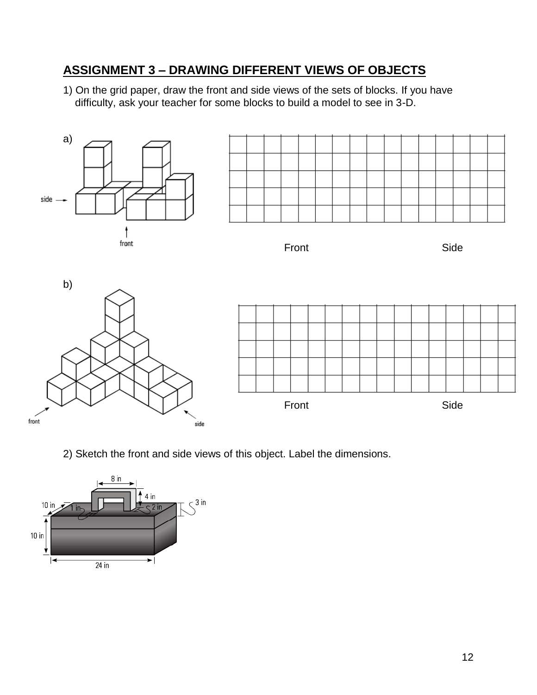# **ASSIGNMENT 3 – DRAWING DIFFERENT VIEWS OF OBJECTS**

1) On the grid paper, draw the front and side views of the sets of blocks. If you have difficulty, ask your teacher for some blocks to build a model to see in 3-D.



2) Sketch the front and side views of this object. Label the dimensions.

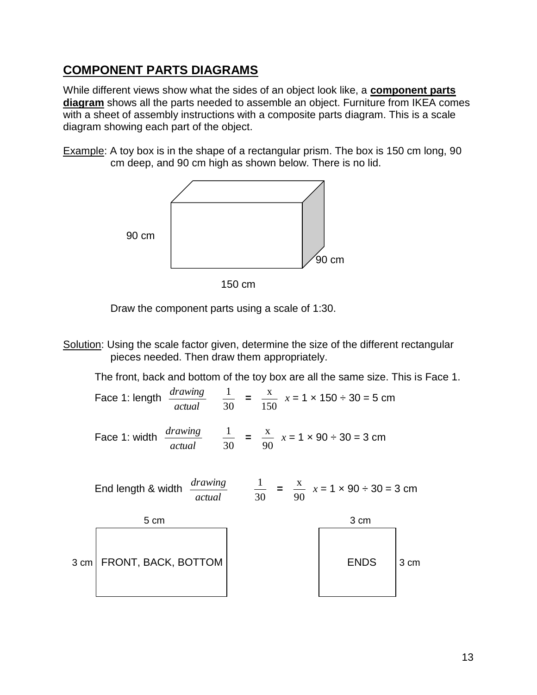## **COMPONENT PARTS DIAGRAMS**

While different views show what the sides of an object look like, a **component parts diagram** shows all the parts needed to assemble an object. Furniture from IKEA comes with a sheet of assembly instructions with a composite parts diagram. This is a scale diagram showing each part of the object.

Example: A toy box is in the shape of a rectangular prism. The box is 150 cm long, 90 cm deep, and 90 cm high as shown below. There is no lid.



Draw the component parts using a scale of 1:30.

*actual*

Solution: Using the scale factor given, determine the size of the different rectangular pieces needed. Then draw them appropriately.

The front, back and bottom of the toy box are all the same size. This is Face 1.

90

Face 1: length 
$$
\frac{drawing}{actual}
$$
  $\frac{1}{30} = \frac{x}{150}$   $x = 1 \times 150 \div 30 = 5$  cm  
Face 1: width  $\frac{drawing}{}$   $\frac{1}{30} = \frac{x}{20} \times x = 1 \times 90 \div 30 = 3$  cm

30

End length & width *actual drawing* 30  $\frac{1}{\sqrt{2}}$  = 90  $\frac{x}{x}$   $x = 1 \times 90 \div 30 = 3$  cm 5 cm 3 cm 3 cm 3 cm | FRONT, BACK, BOTTOM | ENDS | 3 cm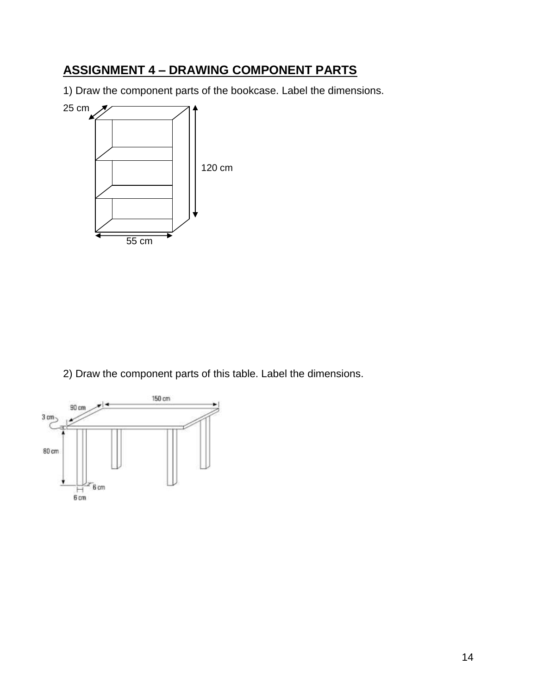# **ASSIGNMENT 4 – DRAWING COMPONENT PARTS**

1) Draw the component parts of the bookcase. Label the dimensions.



2) Draw the component parts of this table. Label the dimensions.

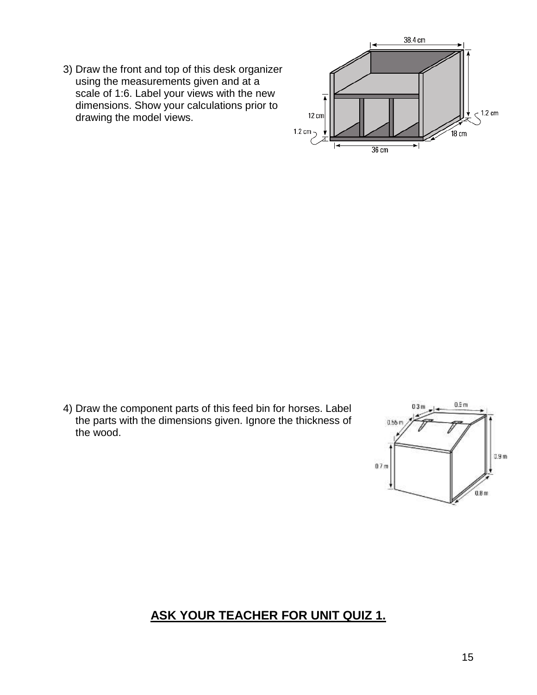3) Draw the front and top of this desk organizer using the measurements given and at a scale of 1:6. Label your views with the new dimensions. Show your calculations prior to drawing the model views.



4) Draw the component parts of this feed bin for horses. Label the parts with the dimensions given. Ignore the thickness of the wood.



# **ASK YOUR TEACHER FOR UNIT QUIZ 1.**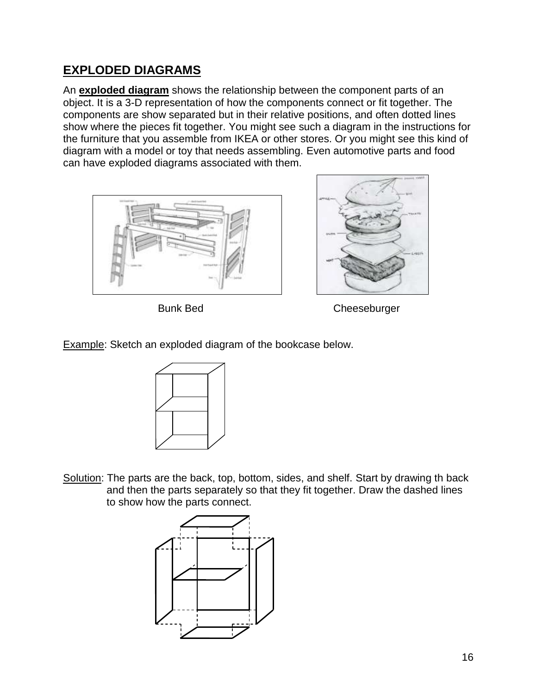#### **EXPLODED DIAGRAMS**

An **exploded diagram** shows the relationship between the component parts of an object. It is a 3-D representation of how the components connect or fit together. The components are show separated but in their relative positions, and often dotted lines show where the pieces fit together. You might see such a diagram in the instructions for the furniture that you assemble from IKEA or other stores. Or you might see this kind of diagram with a model or toy that needs assembling. Even automotive parts and food can have exploded diagrams associated with them.





Bunk Bed Cheeseburger

Example: Sketch an exploded diagram of the bookcase below.



Solution: The parts are the back, top, bottom, sides, and shelf. Start by drawing th back and then the parts separately so that they fit together. Draw the dashed lines to show how the parts connect.

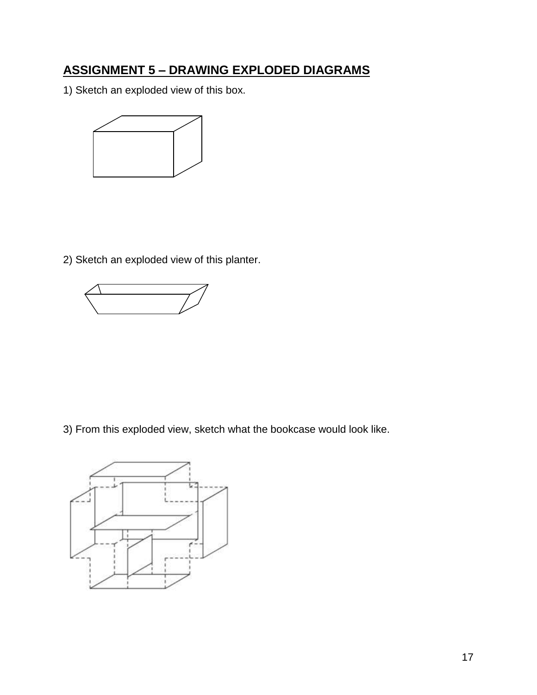# **ASSIGNMENT 5 – DRAWING EXPLODED DIAGRAMS**

1) Sketch an exploded view of this box.



2) Sketch an exploded view of this planter.



3) From this exploded view, sketch what the bookcase would look like.

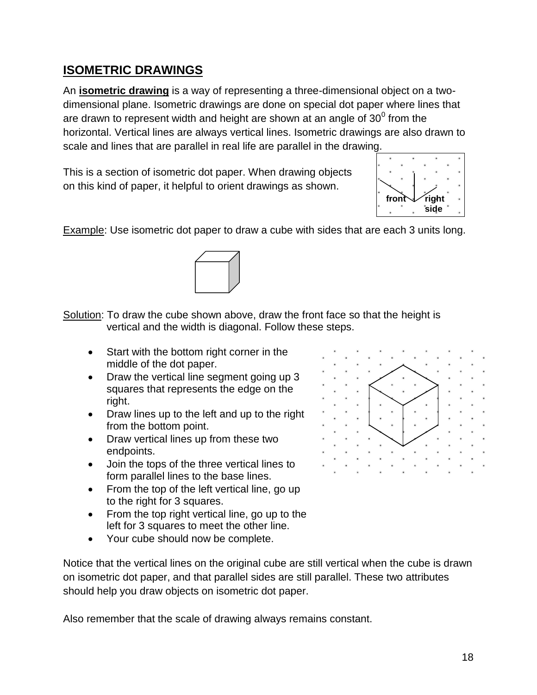#### **ISOMETRIC DRAWINGS**

An **isometric drawing** is a way of representing a three-dimensional object on a twodimensional plane. Isometric drawings are done on special dot paper where lines that are drawn to represent width and height are shown at an angle of 30 $^{\rm 0}$  from the horizontal. Vertical lines are always vertical lines. Isometric drawings are also drawn to scale and lines that are parallel in real life are parallel in the drawing.

This is a section of isometric dot paper. When drawing objects on this kind of paper, it helpful to orient drawings as shown.



Example: Use isometric dot paper to draw a cube with sides that are each 3 units long.



Solution: To draw the cube shown above, draw the front face so that the height is vertical and the width is diagonal. Follow these steps.

- Start with the bottom right corner in the middle of the dot paper.
- Draw the vertical line segment going up 3 squares that represents the edge on the right.
- Draw lines up to the left and up to the right from the bottom point.
- Draw vertical lines up from these two endpoints.
- Join the tops of the three vertical lines to form parallel lines to the base lines.
- From the top of the left vertical line, go up to the right for 3 squares.
- From the top right vertical line, go up to the left for 3 squares to meet the other line.
- Your cube should now be complete.

Notice that the vertical lines on the original cube are still vertical when the cube is drawn on isometric dot paper, and that parallel sides are still parallel. These two attributes should help you draw objects on isometric dot paper.

Also remember that the scale of drawing always remains constant.

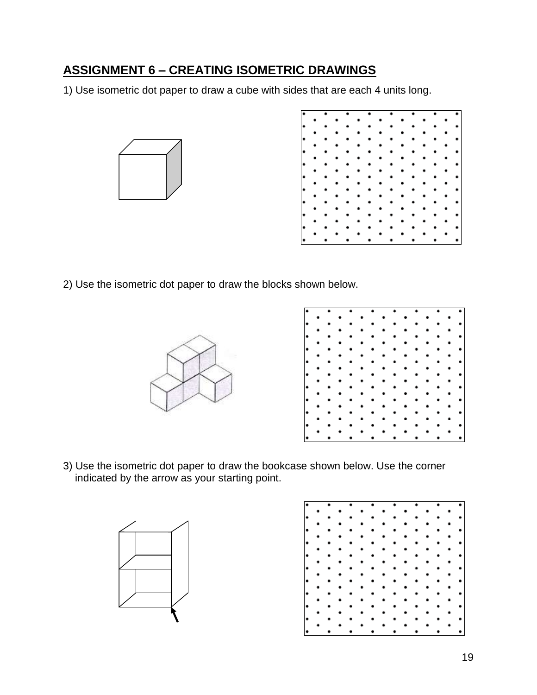### **ASSIGNMENT 6 – CREATING ISOMETRIC DRAWINGS**

1) Use isometric dot paper to draw a cube with sides that are each 4 units long.



|  |  | ٠ |  |
|--|--|---|--|
|  |  |   |  |
|  |  |   |  |
|  |  |   |  |
|  |  |   |  |
|  |  |   |  |
|  |  |   |  |
|  |  |   |  |
|  |  |   |  |
|  |  | ٠ |  |
|  |  |   |  |
|  |  |   |  |
|  |  |   |  |
|  |  |   |  |

2) Use the isometric dot paper to draw the blocks shown below.



|  |   |  | ٠ |   |  |
|--|---|--|---|---|--|
|  |   |  |   |   |  |
|  |   |  |   |   |  |
|  |   |  |   |   |  |
|  |   |  | ٠ |   |  |
|  |   |  |   |   |  |
|  |   |  |   |   |  |
|  |   |  |   |   |  |
|  |   |  |   |   |  |
|  |   |  |   |   |  |
|  | ٠ |  |   | ٠ |  |
|  |   |  |   |   |  |
|  |   |  |   |   |  |
|  |   |  |   |   |  |

3) Use the isometric dot paper to draw the bookcase shown below. Use the corner indicated by the arrow as your starting point.



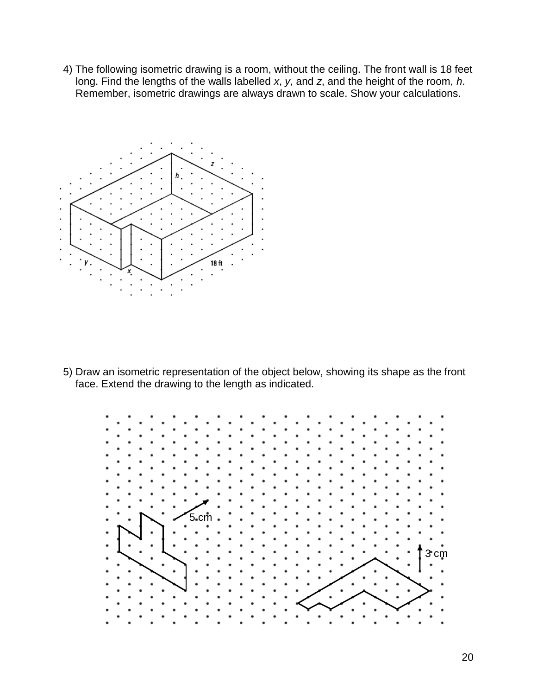4) The following isometric drawing is a room, without the ceiling. The front wall is 18 feet long. Find the lengths of the walls labelled *x*, *y*, and *z*, and the height of the room, *h*. Remember, isometric drawings are always drawn to scale. Show your calculations.



5) Draw an isometric representation of the object below, showing its shape as the front face. Extend the drawing to the length as indicated.

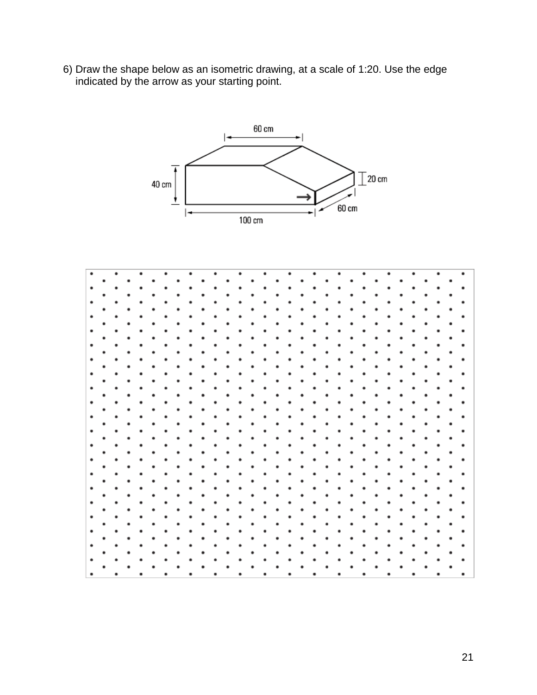6) Draw the shape below as an isometric drawing, at a scale of 1:20. Use the edge indicated by the arrow as your starting point.



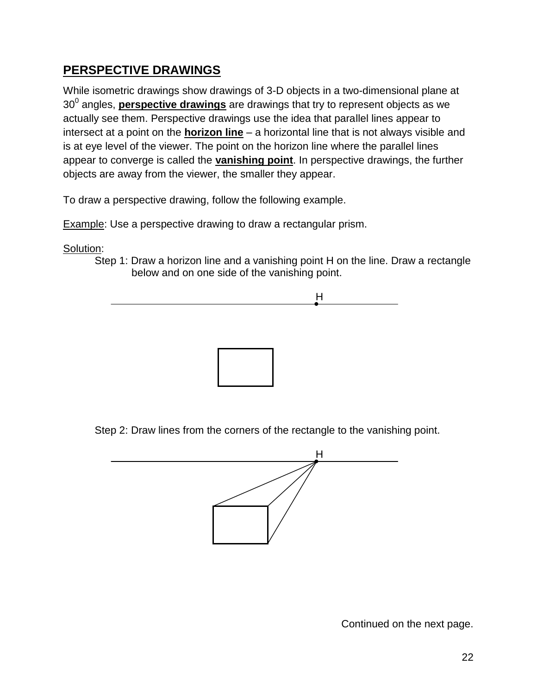#### **PERSPECTIVE DRAWINGS**

While isometric drawings show drawings of 3-D objects in a two-dimensional plane at 30<sup>0</sup> angles, **<u>perspective drawings</u>** are drawings that try to represent objects as we actually see them. Perspective drawings use the idea that parallel lines appear to intersect at a point on the **horizon line** – a horizontal line that is not always visible and is at eye level of the viewer. The point on the horizon line where the parallel lines appear to converge is called the **vanishing point**. In perspective drawings, the further objects are away from the viewer, the smaller they appear.

To draw a perspective drawing, follow the following example.

Example: Use a perspective drawing to draw a rectangular prism.

Solution:

Step 1: Draw a horizon line and a vanishing point H on the line. Draw a rectangle below and on one side of the vanishing point.



Step 2: Draw lines from the corners of the rectangle to the vanishing point.



Continued on the next page.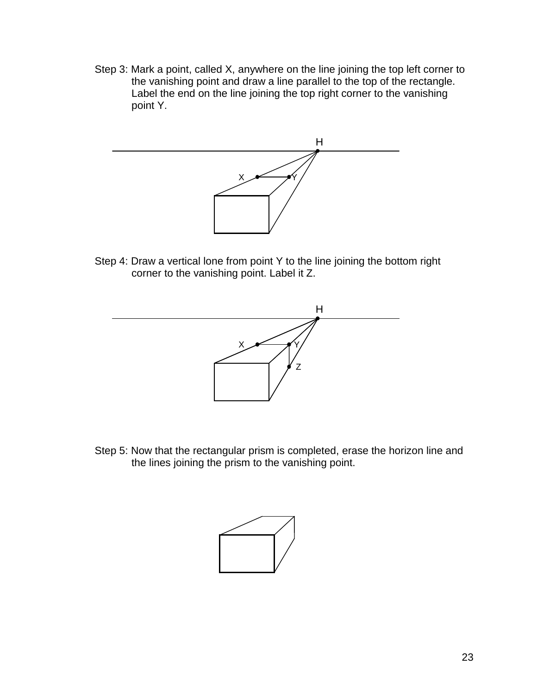Step 3: Mark a point, called X, anywhere on the line joining the top left corner to the vanishing point and draw a line parallel to the top of the rectangle. Label the end on the line joining the top right corner to the vanishing point Y.



Step 4: Draw a vertical lone from point Y to the line joining the bottom right corner to the vanishing point. Label it Z.



Step 5: Now that the rectangular prism is completed, erase the horizon line and the lines joining the prism to the vanishing point.